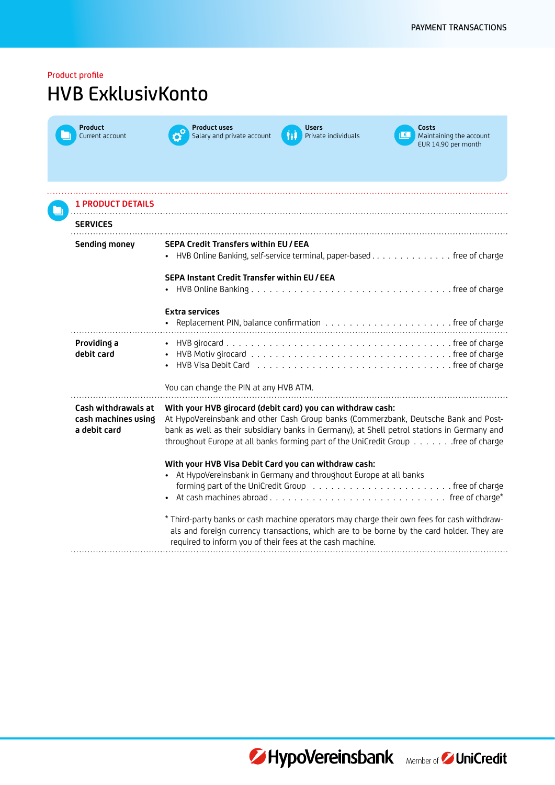| Product profile<br><b>HVB ExklusivKonto</b>                |                                                                                                                                                                                                                                                                                                                                       |  |
|------------------------------------------------------------|---------------------------------------------------------------------------------------------------------------------------------------------------------------------------------------------------------------------------------------------------------------------------------------------------------------------------------------|--|
| <b>Product</b><br>Current account                          | <b>Product uses</b><br><b>Users</b><br>Costs<br><u>  €  </u><br>Salary and private account<br>hl<br>Private individuals<br>Maintaining the account<br>EUR 14.90 per month                                                                                                                                                             |  |
| <b>1 PRODUCT DETAILS</b>                                   |                                                                                                                                                                                                                                                                                                                                       |  |
| <b>SERVICES</b>                                            |                                                                                                                                                                                                                                                                                                                                       |  |
| Sending money                                              | <b>SEPA Credit Transfers within EU/EEA</b><br>• HVB Online Banking, self-service terminal, paper-based free of charge                                                                                                                                                                                                                 |  |
|                                                            | SEPA Instant Credit Transfer within EU / EEA<br>$\bullet$                                                                                                                                                                                                                                                                             |  |
|                                                            | <b>Extra services</b>                                                                                                                                                                                                                                                                                                                 |  |
| Providing a<br>debit card                                  | HVB Visa Debit Card (all contacts) and the control of the control of the Control of the Visa Debit Card                                                                                                                                                                                                                               |  |
|                                                            | You can change the PIN at any HVB ATM.                                                                                                                                                                                                                                                                                                |  |
| Cash withdrawals at<br>cash machines using<br>a debit card | With your HVB girocard (debit card) you can withdraw cash:<br>At HypoVereinsbank and other Cash Group banks (Commerzbank, Deutsche Bank and Post-<br>bank as well as their subsidiary banks in Germany), at Shell petrol stations in Germany and<br>throughout Europe at all banks forming part of the UniCredit Group free of charge |  |
|                                                            | With your HVB Visa Debit Card you can withdraw cash:<br>• At HypoVereinsbank in Germany and throughout Europe at all banks                                                                                                                                                                                                            |  |
|                                                            | * Third-party banks or cash machine operators may charge their own fees for cash withdraw-<br>als and foreign currency transactions, which are to be borne by the card holder. They are<br>required to inform you of their fees at the cash machine.                                                                                  |  |



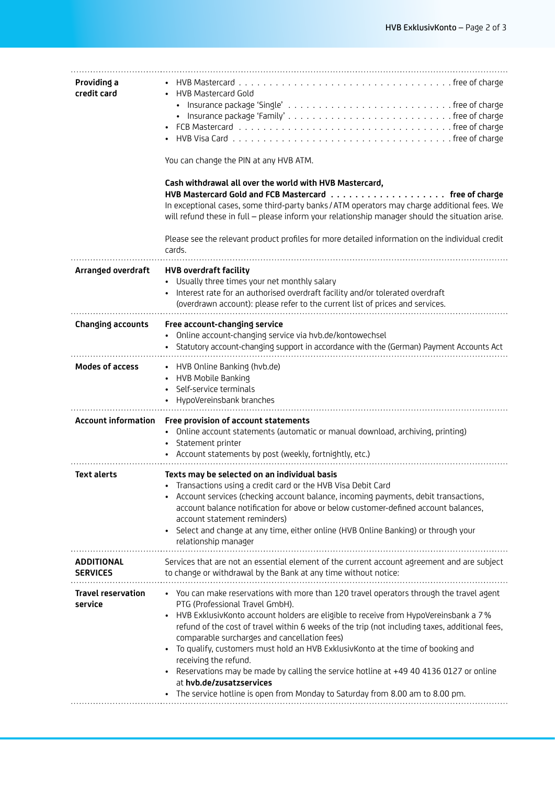| Providing a<br>credit card           | <b>HVB Mastercard Gold</b><br>You can change the PIN at any HVB ATM.<br>Cash withdrawal all over the world with HVB Mastercard,<br>In exceptional cases, some third-party banks / ATM operators may charge additional fees. We<br>will refund these in full - please inform your relationship manager should the situation arise.<br>Please see the relevant product profiles for more detailed information on the individual credit<br>cards.                                                                                                                                                                                                                                                                               |
|--------------------------------------|------------------------------------------------------------------------------------------------------------------------------------------------------------------------------------------------------------------------------------------------------------------------------------------------------------------------------------------------------------------------------------------------------------------------------------------------------------------------------------------------------------------------------------------------------------------------------------------------------------------------------------------------------------------------------------------------------------------------------|
| Arranged overdraft                   | <b>HVB overdraft facility</b><br>Usually three times your net monthly salary<br>Interest rate for an authorised overdraft facility and/or tolerated overdraft<br>(overdrawn account): please refer to the current list of prices and services.                                                                                                                                                                                                                                                                                                                                                                                                                                                                               |
| Changing accounts                    | Free account-changing service<br>Online account-changing service via hvb.de/kontowechsel<br>Statutory account-changing support in accordance with the (German) Payment Accounts Act                                                                                                                                                                                                                                                                                                                                                                                                                                                                                                                                          |
| <b>Modes of access</b>               | • HVB Online Banking (hvb.de)<br>• HVB Mobile Banking<br>Self-service terminals<br>HypoVereinsbank branches                                                                                                                                                                                                                                                                                                                                                                                                                                                                                                                                                                                                                  |
| <b>Account information</b>           | Free provision of account statements<br>Online account statements (automatic or manual download, archiving, printing)<br>$\bullet$<br>Statement printer<br>Account statements by post (weekly, fortnightly, etc.)                                                                                                                                                                                                                                                                                                                                                                                                                                                                                                            |
| <b>Text alerts</b>                   | Texts may be selected on an individual basis<br>Transactions using a credit card or the HVB Visa Debit Card<br>Account services (checking account balance, incoming payments, debit transactions,<br>account balance notification for above or below customer-defined account balances,<br>account statement reminders)<br>Select and change at any time, either online (HVB Online Banking) or through your<br>relationship manager                                                                                                                                                                                                                                                                                         |
| <b>ADDITIONAL</b><br><b>SERVICES</b> | Services that are not an essential element of the current account agreement and are subject<br>to change or withdrawal by the Bank at any time without notice:                                                                                                                                                                                                                                                                                                                                                                                                                                                                                                                                                               |
| <b>Travel reservation</b><br>service | • You can make reservations with more than 120 travel operators through the travel agent<br>PTG (Professional Travel GmbH).<br>HVB ExklusivKonto account holders are eligible to receive from HypoVereinsbank a 7%<br>$\bullet$<br>refund of the cost of travel within 6 weeks of the trip (not including taxes, additional fees,<br>comparable surcharges and cancellation fees)<br>To qualify, customers must hold an HVB ExklusivKonto at the time of booking and<br>$\bullet$<br>receiving the refund.<br>Reservations may be made by calling the service hotline at +49 40 4136 0127 or online<br>$\bullet$<br>at hvb.de/zusatzservices<br>The service hotline is open from Monday to Saturday from 8.00 am to 8.00 pm. |
|                                      |                                                                                                                                                                                                                                                                                                                                                                                                                                                                                                                                                                                                                                                                                                                              |